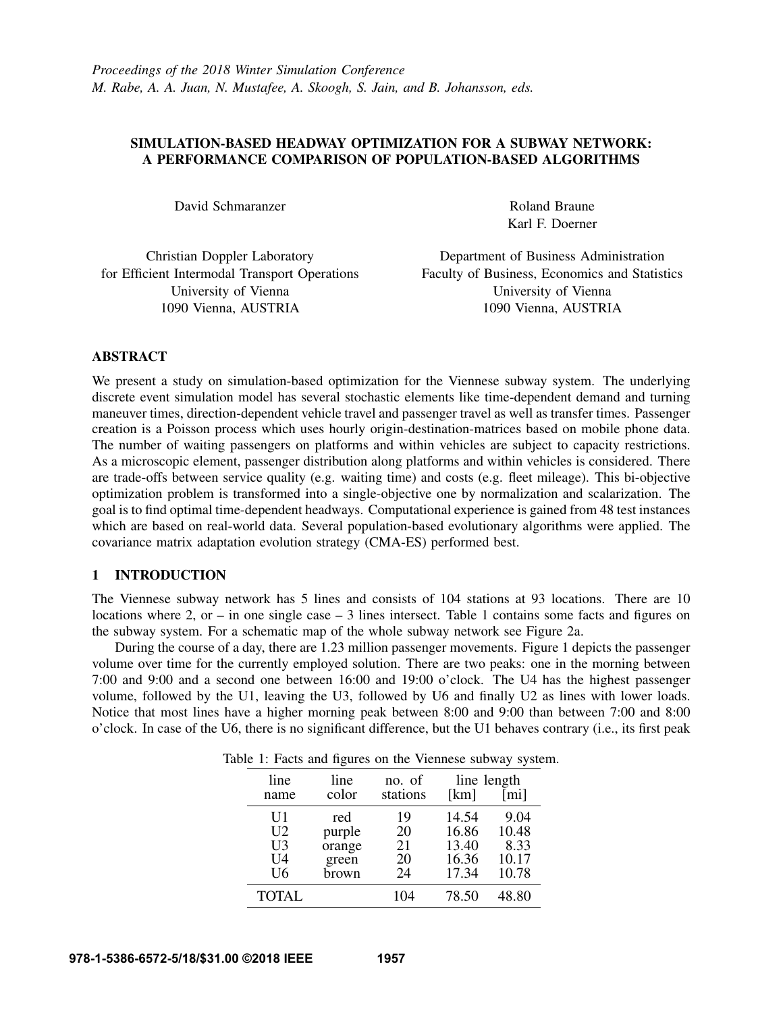# SIMULATION-BASED HEADWAY OPTIMIZATION FOR A SUBWAY NETWORK: A PERFORMANCE COMPARISON OF POPULATION-BASED ALGORITHMS

David Schmaranzer

Roland Braune Karl F. Doerner

Christian Doppler Laboratory for Efficient Intermodal Transport Operations University of Vienna 1090 Vienna, AUSTRIA

Department of Business Administration Faculty of Business, Economics and Statistics University of Vienna 1090 Vienna, AUSTRIA

# ABSTRACT

We present a study on simulation-based optimization for the Viennese subway system. The underlying discrete event simulation model has several stochastic elements like time-dependent demand and turning maneuver times, direction-dependent vehicle travel and passenger travel as well as transfer times. Passenger creation is a Poisson process which uses hourly origin-destination-matrices based on mobile phone data. The number of waiting passengers on platforms and within vehicles are subject to capacity restrictions. As a microscopic element, passenger distribution along platforms and within vehicles is considered. There are trade-offs between service quality (e.g. waiting time) and costs (e.g. fleet mileage). This bi-objective optimization problem is transformed into a single-objective one by normalization and scalarization. The goal is to find optimal time-dependent headways. Computational experience is gained from 48 test instances which are based on real-world data. Several population-based evolutionary algorithms were applied. The covariance matrix adaptation evolution strategy (CMA-ES) performed best.

### 1 INTRODUCTION

The Viennese subway network has 5 lines and consists of 104 stations at 93 locations. There are 10 locations where 2, or – in one single case – 3 lines intersect. Table 1 contains some facts and figures on the subway system. For a schematic map of the whole subway network see Figure 2a.

During the course of a day, there are 1.23 million passenger movements. Figure 1 depicts the passenger volume over time for the currently employed solution. There are two peaks: one in the morning between 7:00 and 9:00 and a second one between 16:00 and 19:00 o'clock. The U4 has the highest passenger volume, followed by the U1, leaving the U3, followed by U6 and finally U2 as lines with lower loads. Notice that most lines have a higher morning peak between 8:00 and 9:00 than between 7:00 and 8:00 o'clock. In case of the U6, there is no significant difference, but the U1 behaves contrary (i.e., its first peak

|  |  |  |  |  |  |  | Table 1: Facts and figures on the Viennese subway system. |  |  |
|--|--|--|--|--|--|--|-----------------------------------------------------------|--|--|
|--|--|--|--|--|--|--|-----------------------------------------------------------|--|--|

| line<br>name                           | line<br>color                             | no. of<br>stations         | line length<br>[km]                       | [mi]                                    |
|----------------------------------------|-------------------------------------------|----------------------------|-------------------------------------------|-----------------------------------------|
| U1<br>U <sub>2</sub><br>U3<br>U4<br>U6 | red<br>purple<br>orange<br>green<br>brown | 19<br>20<br>21<br>20<br>24 | 14.54<br>16.86<br>13.40<br>16.36<br>17.34 | 9.04<br>10.48<br>8.33<br>10.17<br>10.78 |
| <b>TOTAL</b>                           |                                           | 104                        | 78.50                                     | 48.80                                   |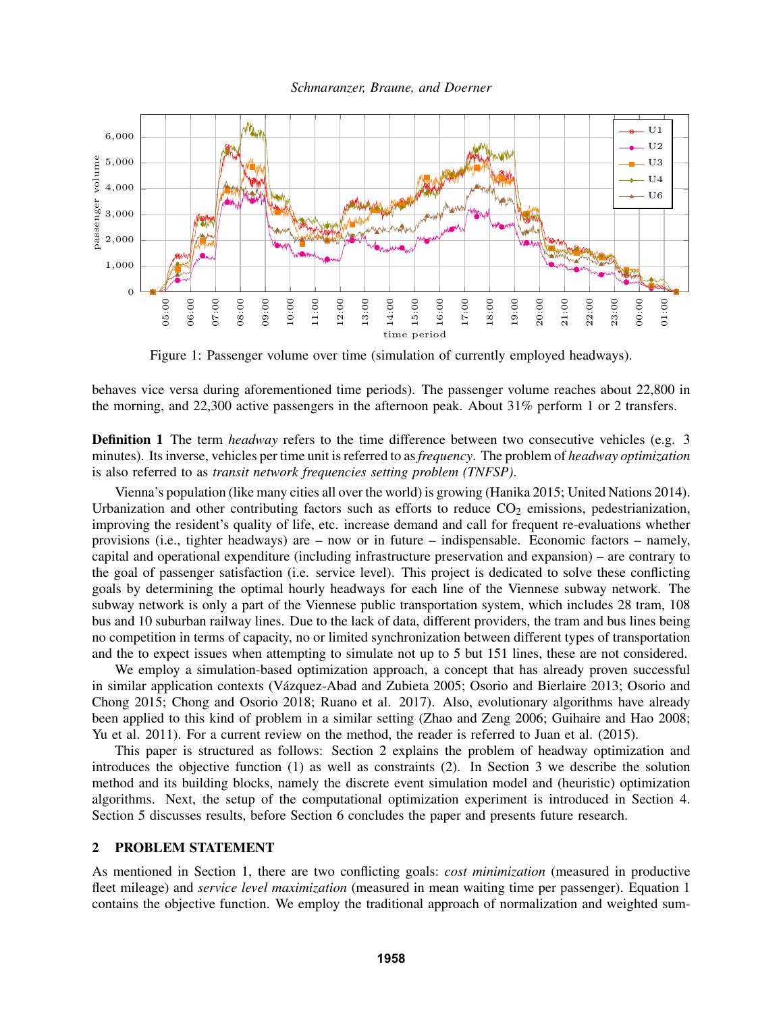



Figure 1: Passenger volume over time (simulation of currently employed headways).

behaves vice versa during aforementioned time periods). The passenger volume reaches about 22,800 in the morning, and 22,300 active passengers in the afternoon peak. About 31% perform 1 or 2 transfers.

**Definition 1** The term *headway* refers to the time difference between two consecutive vehicles (e.g. 3) minutes). Its inverse, vehicles per time unit is referred to as*frequency*. The problem of *headway optimization* is also referred to as *transit network frequencies setting problem (TNFSP)*.

Vienna's population (like many cities all over the world) is growing (Hanika 2015; United Nations 2014). Urbanization and other contributing factors such as efforts to reduce  $CO<sub>2</sub>$  emissions, pedestrianization, improving the resident's quality of life, etc. increase demand and call for frequent re-evaluations whether provisions (i.e., tighter headways) are – now or in future – indispensable. Economic factors – namely, capital and operational expenditure (including infrastructure preservation and expansion) – are contrary to the goal of passenger satisfaction (i.e. service level). This project is dedicated to solve these conflicting goals by determining the optimal hourly headways for each line of the Viennese subway network. The subway network is only a part of the Viennese public transportation system, which includes 28 tram, 108 bus and 10 suburban railway lines. Due to the lack of data, different providers, the tram and bus lines being no competition in terms of capacity, no or limited synchronization between different types of transportation and the to expect issues when attempting to simulate not up to 5 but 151 lines, these are not considered.

We employ a simulation-based optimization approach, a concept that has already proven successful in similar application contexts (Vázquez-Abad and Zubieta 2005; Osorio and Bierlaire 2013; Osorio and Chong 2015; Chong and Osorio 2018; Ruano et al. 2017). Also, evolutionary algorithms have already been applied to this kind of problem in a similar setting (Zhao and Zeng 2006; Guihaire and Hao 2008; Yu et al. 2011). For a current review on the method, the reader is referred to Juan et al. (2015).

This paper is structured as follows: Section 2 explains the problem of headway optimization and introduces the objective function (1) as well as constraints (2). In Section 3 we describe the solution method and its building blocks, namely the discrete event simulation model and (heuristic) optimization algorithms. Next, the setup of the computational optimization experiment is introduced in Section 4. Section 5 discusses results, before Section 6 concludes the paper and presents future research.

# 2 PROBLEM STATEMENT

As mentioned in Section 1, there are two conflicting goals: *cost minimization* (measured in productive fleet mileage) and *service level maximization* (measured in mean waiting time per passenger). Equation 1 contains the objective function. We employ the traditional approach of normalization and weighted sum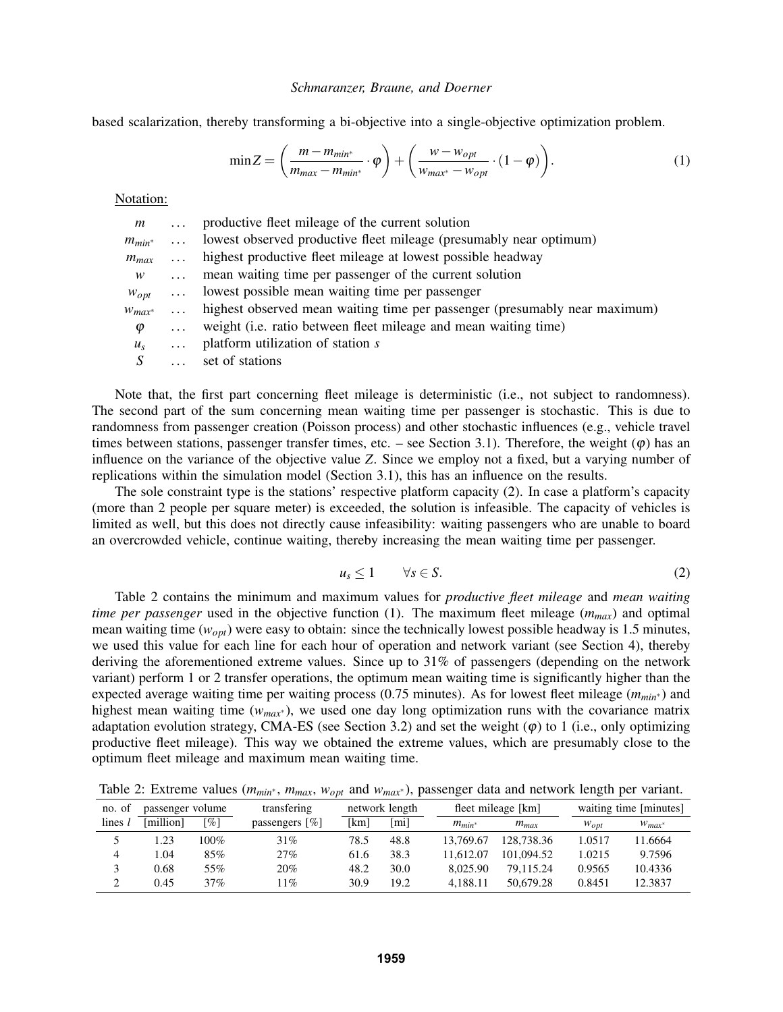based scalarization, thereby transforming a bi-objective into a single-objective optimization problem.

$$
\min Z = \left(\frac{m - m_{min^*}}{m_{max} - m_{min^*}} \cdot \varphi\right) + \left(\frac{w - w_{opt}}{w_{max^*} - w_{opt}} \cdot (1 - \varphi)\right). \tag{1}
$$

Notation:

| m                 | $\cdots$ | productive fleet mileage of the current solution                           |
|-------------------|----------|----------------------------------------------------------------------------|
| $m_{min^*}$       | $\cdots$ | lowest observed productive fleet mileage (presumably near optimum)         |
| $m_{max} \dots$   |          | highest productive fleet mileage at lowest possible headway                |
| W                 | $\ldots$ | mean waiting time per passenger of the current solution                    |
|                   |          | $w_{opt}$ lowest possible mean waiting time per passenger                  |
| $W_{max^*} \dots$ |          | highest observed mean waiting time per passenger (presumably near maximum) |
| $\varphi$         | $\cdots$ | weight (i.e. ratio between fleet mileage and mean waiting time)            |
| $u_{\rm s}$       | $\cdots$ | platform utilization of station s                                          |
|                   | $\cdots$ | set of stations                                                            |
|                   |          |                                                                            |

Note that, the first part concerning fleet mileage is deterministic (i.e., not subject to randomness). The second part of the sum concerning mean waiting time per passenger is stochastic. This is due to randomness from passenger creation (Poisson process) and other stochastic influences (e.g., vehicle travel times between stations, passenger transfer times, etc. – see Section 3.1). Therefore, the weight  $(\varphi)$  has an influence on the variance of the objective value *Z*. Since we employ not a fixed, but a varying number of replications within the simulation model (Section 3.1), this has an influence on the results.

The sole constraint type is the stations' respective platform capacity (2). In case a platform's capacity (more than 2 people per square meter) is exceeded, the solution is infeasible. The capacity of vehicles is limited as well, but this does not directly cause infeasibility: waiting passengers who are unable to board an overcrowded vehicle, continue waiting, thereby increasing the mean waiting time per passenger.

$$
u_s \le 1 \qquad \forall s \in S. \tag{2}
$$

Table 2 contains the minimum and maximum values for *productive fleet mileage* and *mean waiting time per passenger* used in the objective function (1). The maximum fleet mileage (*mmax*) and optimal mean waiting time ( $w_{opt}$ ) were easy to obtain: since the technically lowest possible headway is 1.5 minutes, we used this value for each line for each hour of operation and network variant (see Section 4), thereby deriving the aforementioned extreme values. Since up to 31% of passengers (depending on the network variant) perform 1 or 2 transfer operations, the optimum mean waiting time is significantly higher than the expected average waiting time per waiting process (0.75 minutes). As for lowest fleet mileage (*mmin*<sup>∗</sup> ) and highest mean waiting time (*wmax*<sup>∗</sup> ), we used one day long optimization runs with the covariance matrix adaptation evolution strategy, CMA-ES (see Section 3.2) and set the weight  $(\varphi)$  to 1 (i.e., only optimizing productive fleet mileage). This way we obtained the extreme values, which are presumably close to the optimum fleet mileage and maximum mean waiting time.

Table 2: Extreme values ( $m_{min*}$ ,  $m_{max}$ ,  $w_{opt}$  and  $w_{max*}$ ), passenger data and network length per variant.

| no. of | passenger volume |      | transfering                   | network length |      |             | fleet mileage [km] |           | waiting time [minutes] |  |
|--------|------------------|------|-------------------------------|----------------|------|-------------|--------------------|-----------|------------------------|--|
| lines  | [million]        | [%]  | passengers $\lceil \% \rceil$ | [km]           | [mi] | $m_{min^*}$ | $m_{max}$          | $W_{opt}$ | $W_{max^*}$            |  |
|        | .23              | 100% | 31%                           | 78.5           | 48.8 | 13.769.67   | 128,738.36         | 1.0517    | 11.6664                |  |
| 4      | L.O4             | 85%  | 27%                           | 61.6           | 38.3 | 11.612.07   | 101.094.52         | 1.0215    | 9.7596                 |  |
|        | 0.68             | 55%  | 20%                           | 48.2           | 30.0 | 8.025.90    | 79.115.24          | 0.9565    | 10.4336                |  |
|        | 0.45             | 37%  | 11%                           | 30.9           | 19.2 | 4.188.11    | 50.679.28          | 0.8451    | 12.3837                |  |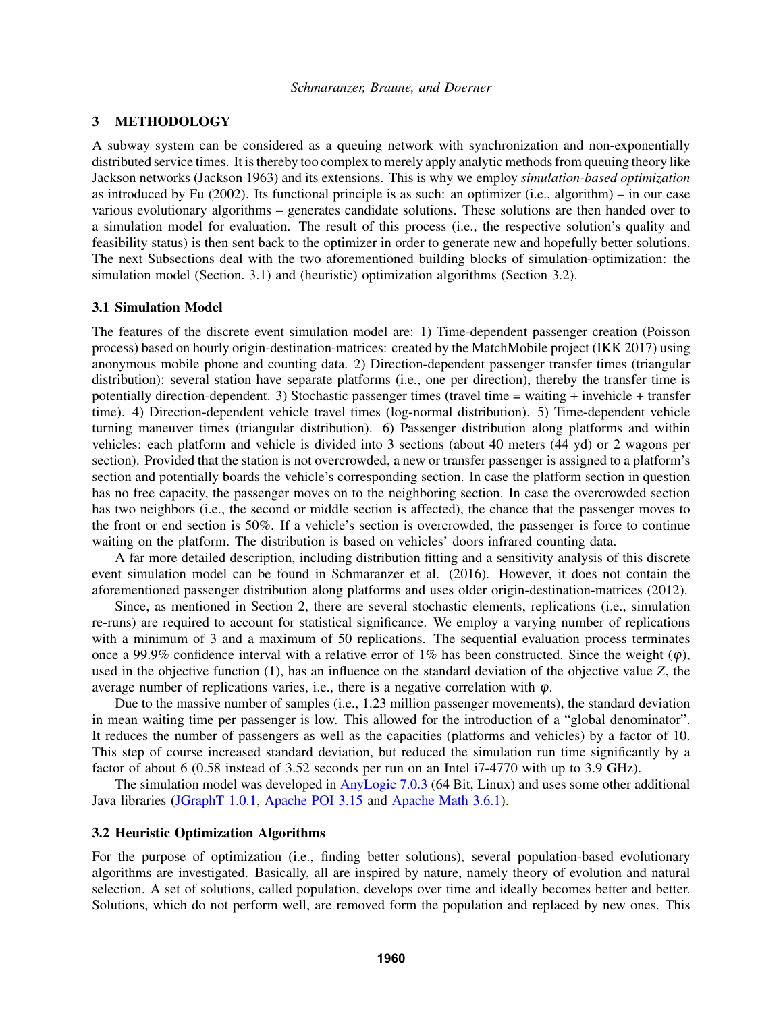## 3 METHODOLOGY

A subway system can be considered as a queuing network with synchronization and non-exponentially distributed service times. It is thereby too complex to merely apply analytic methods from queuing theory like Jackson networks (Jackson 1963) and its extensions. This is why we employ *simulation-based optimization* as introduced by Fu (2002). Its functional principle is as such: an optimizer (i.e., algorithm) – in our case various evolutionary algorithms – generates candidate solutions. These solutions are then handed over to a simulation model for evaluation. The result of this process (i.e., the respective solution's quality and feasibility status) is then sent back to the optimizer in order to generate new and hopefully better solutions. The next Subsections deal with the two aforementioned building blocks of simulation-optimization: the simulation model (Section. 3.1) and (heuristic) optimization algorithms (Section 3.2).

### 3.1 Simulation Model

The features of the discrete event simulation model are: 1) Time-dependent passenger creation (Poisson process) based on hourly origin-destination-matrices: created by the MatchMobile project (IKK 2017) using anonymous mobile phone and counting data. 2) Direction-dependent passenger transfer times (triangular distribution): several station have separate platforms (i.e., one per direction), thereby the transfer time is potentially direction-dependent. 3) Stochastic passenger times (travel time = waiting + invehicle + transfer time). 4) Direction-dependent vehicle travel times (log-normal distribution). 5) Time-dependent vehicle turning maneuver times (triangular distribution). 6) Passenger distribution along platforms and within vehicles: each platform and vehicle is divided into 3 sections (about 40 meters (44 yd) or 2 wagons per section). Provided that the station is not overcrowded, a new or transfer passenger is assigned to a platform's section and potentially boards the vehicle's corresponding section. In case the platform section in question has no free capacity, the passenger moves on to the neighboring section. In case the overcrowded section has two neighbors (i.e., the second or middle section is affected), the chance that the passenger moves to the front or end section is 50%. If a vehicle's section is overcrowded, the passenger is force to continue waiting on the platform. The distribution is based on vehicles' doors infrared counting data.

A far more detailed description, including distribution fitting and a sensitivity analysis of this discrete event simulation model can be found in Schmaranzer et al. (2016). However, it does not contain the aforementioned passenger distribution along platforms and uses older origin-destination-matrices (2012).

Since, as mentioned in Section 2, there are several stochastic elements, replications (i.e., simulation re-runs) are required to account for statistical significance. We employ a varying number of replications with a minimum of 3 and a maximum of 50 replications. The sequential evaluation process terminates once a 99.9% confidence interval with a relative error of 1% has been constructed. Since the weight  $(\varphi)$ , used in the objective function (1), has an influence on the standard deviation of the objective value *Z*, the average number of replications varies, i.e., there is a negative correlation with  $\varphi$ .

Due to the massive number of samples (i.e., 1.23 million passenger movements), the standard deviation in mean waiting time per passenger is low. This allowed for the introduction of a "global denominator". It reduces the number of passengers as well as the capacities (platforms and vehicles) by a factor of 10. This step of course increased standard deviation, but reduced the simulation run time significantly by a factor of about 6 (0.58 instead of 3.52 seconds per run on an Intel i7-4770 with up to 3.9 GHz).

The simulation model was developed in AnyLogic 7.0.3 (64 Bit, Linux) and uses some other additional Java libraries (JGraphT 1.0.1, Apache POI 3.15 and Apache Math 3.6.1).

### 3.2 Heuristic Optimization Algorithms

For the purpose of optimization (i.e., finding better solutions), several population-based evolutionary algorithms are investigated. Basically, all are inspired by nature, namely theory of evolution and natural selection. A set of solutions, called population, develops over time and ideally becomes better and better. Solutions, which do not perform well, are removed form the population and replaced by new ones. This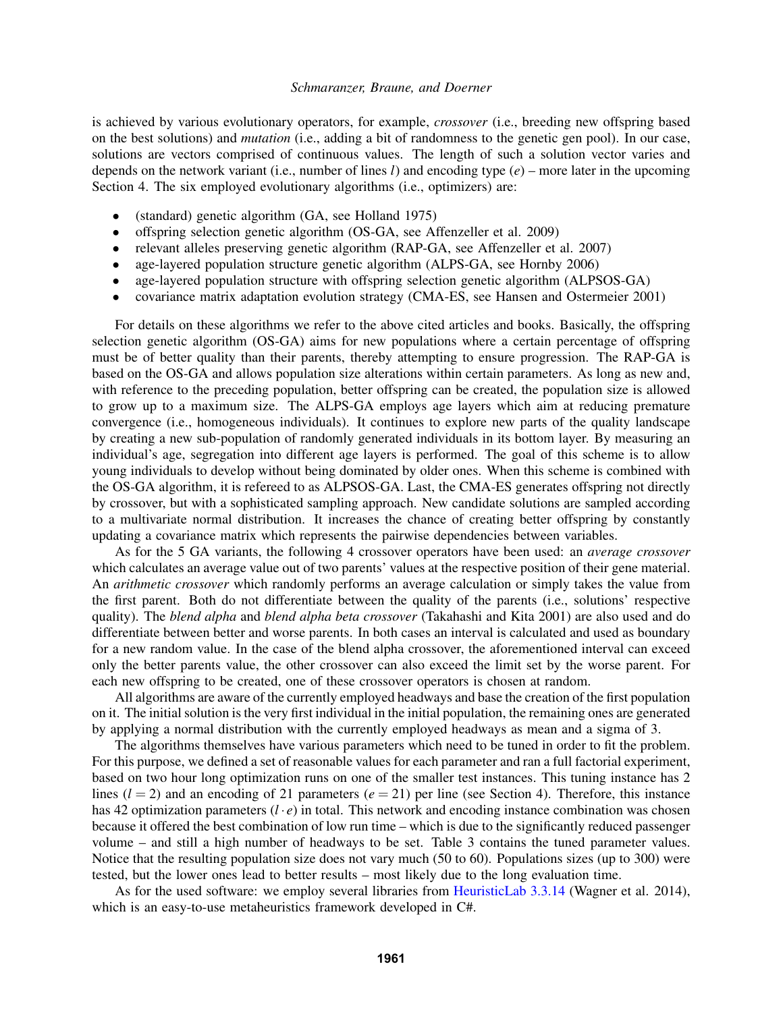is achieved by various evolutionary operators, for example, *crossover* (i.e., breeding new offspring based on the best solutions) and *mutation* (i.e., adding a bit of randomness to the genetic gen pool). In our case, solutions are vectors comprised of continuous values. The length of such a solution vector varies and depends on the network variant (i.e., number of lines *l*) and encoding type (*e*) – more later in the upcoming Section 4. The six employed evolutionary algorithms (i.e., optimizers) are:

- (standard) genetic algorithm (GA, see Holland 1975)
- offspring selection genetic algorithm (OS-GA, see Affenzeller et al. 2009)
- relevant alleles preserving genetic algorithm (RAP-GA, see Affenzeller et al. 2007)
- age-layered population structure genetic algorithm (ALPS-GA, see Hornby 2006)
- age-layered population structure with offspring selection genetic algorithm (ALPSOS-GA)
- covariance matrix adaptation evolution strategy (CMA-ES, see Hansen and Ostermeier 2001)

For details on these algorithms we refer to the above cited articles and books. Basically, the offspring selection genetic algorithm (OS-GA) aims for new populations where a certain percentage of offspring must be of better quality than their parents, thereby attempting to ensure progression. The RAP-GA is based on the OS-GA and allows population size alterations within certain parameters. As long as new and, with reference to the preceding population, better offspring can be created, the population size is allowed to grow up to a maximum size. The ALPS-GA employs age layers which aim at reducing premature convergence (i.e., homogeneous individuals). It continues to explore new parts of the quality landscape by creating a new sub-population of randomly generated individuals in its bottom layer. By measuring an individual's age, segregation into different age layers is performed. The goal of this scheme is to allow young individuals to develop without being dominated by older ones. When this scheme is combined with the OS-GA algorithm, it is refereed to as ALPSOS-GA. Last, the CMA-ES generates offspring not directly by crossover, but with a sophisticated sampling approach. New candidate solutions are sampled according to a multivariate normal distribution. It increases the chance of creating better offspring by constantly updating a covariance matrix which represents the pairwise dependencies between variables.

As for the 5 GA variants, the following 4 crossover operators have been used: an *average crossover* which calculates an average value out of two parents' values at the respective position of their gene material. An *arithmetic crossover* which randomly performs an average calculation or simply takes the value from the first parent. Both do not differentiate between the quality of the parents (i.e., solutions' respective quality). The *blend alpha* and *blend alpha beta crossover* (Takahashi and Kita 2001) are also used and do differentiate between better and worse parents. In both cases an interval is calculated and used as boundary for a new random value. In the case of the blend alpha crossover, the aforementioned interval can exceed only the better parents value, the other crossover can also exceed the limit set by the worse parent. For each new offspring to be created, one of these crossover operators is chosen at random.

All algorithms are aware of the currently employed headways and base the creation of the first population on it. The initial solution is the very first individual in the initial population, the remaining ones are generated by applying a normal distribution with the currently employed headways as mean and a sigma of 3.

The algorithms themselves have various parameters which need to be tuned in order to fit the problem. For this purpose, we defined a set of reasonable values for each parameter and ran a full factorial experiment, based on two hour long optimization runs on one of the smaller test instances. This tuning instance has 2 lines  $(l = 2)$  and an encoding of 21 parameters  $(e = 21)$  per line (see Section 4). Therefore, this instance has 42 optimization parameters  $(l \cdot e)$  in total. This network and encoding instance combination was chosen because it offered the best combination of low run time – which is due to the significantly reduced passenger volume – and still a high number of headways to be set. Table 3 contains the tuned parameter values. Notice that the resulting population size does not vary much (50 to 60). Populations sizes (up to 300) were tested, but the lower ones lead to better results – most likely due to the long evaluation time.

As for the used software: we employ several libraries from HeuristicLab 3.3.14 (Wagner et al. 2014), which is an easy-to-use metaheuristics framework developed in C#.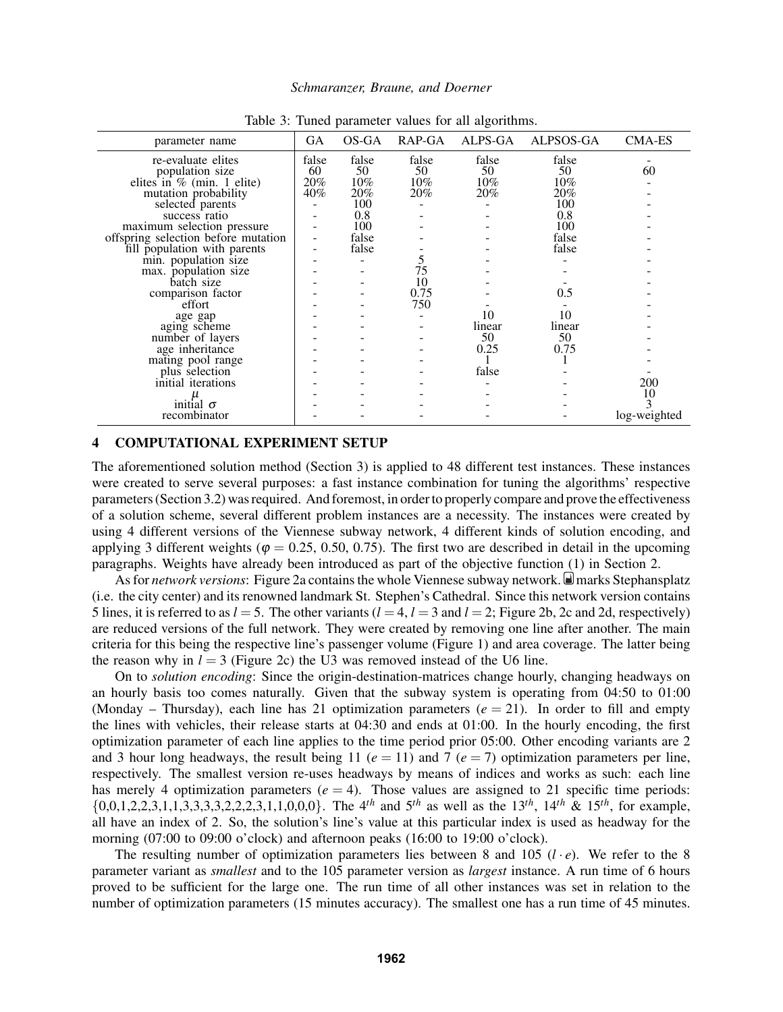| parameter name                      | <b>GA</b> | OS-GA  | RAP-GA | ALPS-GA | ALPSOS-GA | <b>CMA-ES</b> |
|-------------------------------------|-----------|--------|--------|---------|-----------|---------------|
| re-evaluate elites                  | false     | false  | false  | false   | false     |               |
| population size                     | 60        | 50     | 50     | 50      | 50        | 60            |
| elites in $%$ (min. 1 elite)        | 20%       | $10\%$ | $10\%$ | $10\%$  | $10\%$    |               |
| mutation probability                | 40%       | 20%    | $20\%$ | 20%     | 20%       |               |
| selected parents                    |           | 100    |        |         | 100       |               |
| success ratio                       |           | 0.8    |        |         | 0.8       |               |
| maximum selection pressure          |           | 100    |        |         | 100       |               |
| offspring selection before mutation |           | false  |        |         | false     |               |
| fill population with parents        |           | false  |        |         | false     |               |
| min. population size                |           |        |        |         |           |               |
| max. population size                |           |        | 75     |         |           |               |
| batch size                          |           |        | 10     |         |           |               |
| comparison factor                   |           |        | 0.75   |         | 0.5       |               |
| effort                              |           |        | 750    |         |           |               |
| age gap                             |           |        |        | 10      | 10        |               |
| aging scheme                        |           |        |        | linear  | linear    |               |
| number of layers                    |           |        |        | 50      | 50        |               |
| age inheritance                     |           |        |        | 0.25    | 0.75      |               |
| mating pool range                   |           |        |        |         |           |               |
| plus selection                      |           |        |        | false   |           |               |
| initial iterations                  |           |        |        |         |           | 200           |
|                                     |           |        |        |         |           | 10            |
| initial $\sigma$                    |           |        |        |         |           |               |
| recombinator                        |           |        |        |         |           | log-weighted  |

Table 3: Tuned parameter values for all algorithms.

# 4 COMPUTATIONAL EXPERIMENT SETUP

The aforementioned solution method (Section 3) is applied to 48 different test instances. These instances were created to serve several purposes: a fast instance combination for tuning the algorithms' respective parameters (Section 3.2) was required. And foremost, in order to properly compare and prove the effectiveness of a solution scheme, several different problem instances are a necessity. The instances were created by using 4 different versions of the Viennese subway network, 4 different kinds of solution encoding, and applying 3 different weights ( $\varphi = 0.25, 0.50, 0.75$ ). The first two are described in detail in the upcoming paragraphs. Weights have already been introduced as part of the objective function (1) in Section 2.

As for *network versions*: Figure 2a contains the whole Viennese subway network. marks Stephansplatz (i.e. the city center) and its renowned landmark St. Stephen's Cathedral. Since this network version contains 5 lines, it is referred to as  $l = 5$ . The other variants  $(l = 4, l = 3$  and  $l = 2$ ; Figure 2b, 2c and 2d, respectively) are reduced versions of the full network. They were created by removing one line after another. The main criteria for this being the respective line's passenger volume (Figure 1) and area coverage. The latter being the reason why in  $l = 3$  (Figure 2c) the U3 was removed instead of the U6 line.

On to *solution encoding*: Since the origin-destination-matrices change hourly, changing headways on an hourly basis too comes naturally. Given that the subway system is operating from 04:50 to 01:00 (Monday – Thursday), each line has 21 optimization parameters  $(e = 21)$ . In order to fill and empty the lines with vehicles, their release starts at 04:30 and ends at 01:00. In the hourly encoding, the first optimization parameter of each line applies to the time period prior 05:00. Other encoding variants are 2 and 3 hour long headways, the result being 11 ( $e = 11$ ) and 7 ( $e = 7$ ) optimization parameters per line, respectively. The smallest version re-uses headways by means of indices and works as such: each line has merely 4 optimization parameters  $(e = 4)$ . Those values are assigned to 21 specific time periods:  $\{0,0,1,2,2,3,1,1,3,3,3,3,2,2,2,3,1,1,0,0,0\}$ . The 4<sup>th</sup> and 5<sup>th</sup> as well as the 13<sup>th</sup>, 14<sup>th</sup> & 15<sup>th</sup>, for example, all have an index of 2. So, the solution's line's value at this particular index is used as headway for the morning (07:00 to 09:00 o'clock) and afternoon peaks (16:00 to 19:00 o'clock).

The resulting number of optimization parameters lies between 8 and 105  $(l \cdot e)$ . We refer to the 8 parameter variant as *smallest* and to the 105 parameter version as *largest* instance. A run time of 6 hours proved to be sufficient for the large one. The run time of all other instances was set in relation to the number of optimization parameters (15 minutes accuracy). The smallest one has a run time of 45 minutes.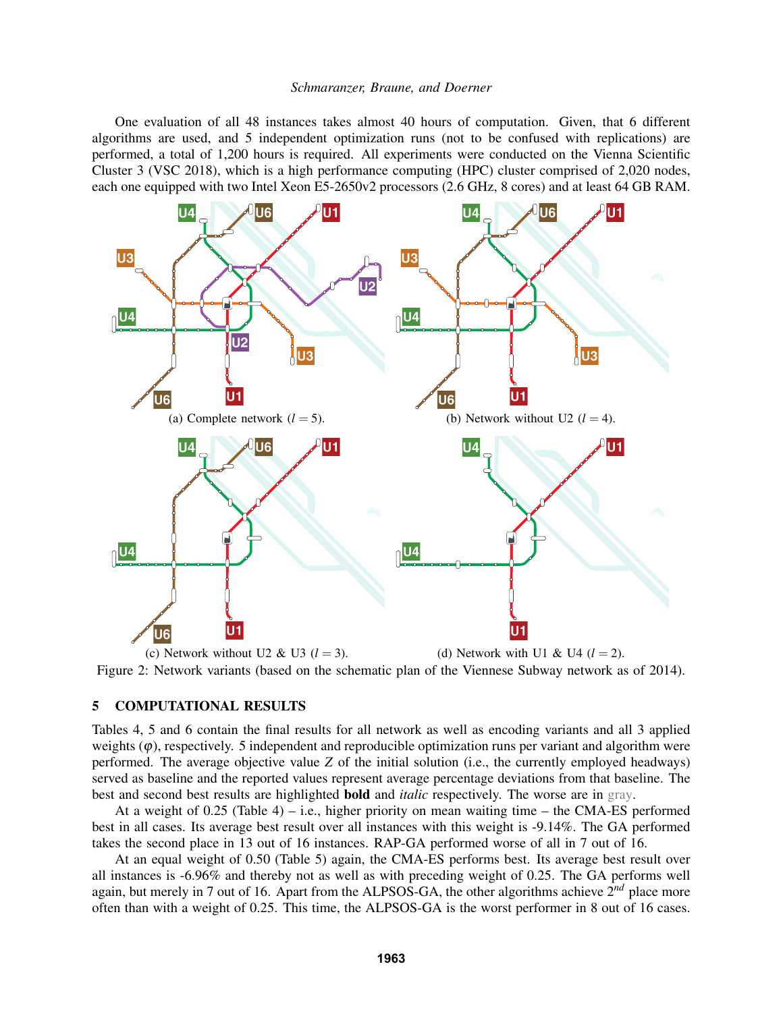One evaluation of all 48 instances takes almost 40 hours of computation. Given, that 6 different algorithms are used, and 5 independent optimization runs (not to be confused with replications) are performed, a total of 1,200 hours is required. All experiments were conducted on the Vienna Scientific Cluster 3 (VSC 2018), which is a high performance computing (HPC) cluster comprised of 2,020 nodes, each one equipped with two Intel Xeon E5-2650v2 processors (2.6 GHz, 8 cores) and at least 64 GB RAM.



(c) Network without U2 & U3 ( $l = 3$ ). (d) Network with U1 & U4 ( $l = 2$ ). Figure 2: Network variants (based on the schematic plan of the Viennese Subway network as of 2014).

# 5 COMPUTATIONAL RESULTS

Tables 4, 5 and 6 contain the final results for all network as well as encoding variants and all 3 applied weights  $(\varphi)$ , respectively. 5 independent and reproducible optimization runs per variant and algorithm were performed. The average objective value *Z* of the initial solution (i.e., the currently employed headways) served as baseline and the reported values represent average percentage deviations from that baseline. The best and second best results are highlighted bold and *italic* respectively. The worse are in gray.

At a weight of  $0.25$  (Table 4) – i.e., higher priority on mean waiting time – the CMA-ES performed best in all cases. Its average best result over all instances with this weight is -9.14%. The GA performed takes the second place in 13 out of 16 instances. RAP-GA performed worse of all in 7 out of 16.

At an equal weight of 0.50 (Table 5) again, the CMA-ES performs best. Its average best result over all instances is -6.96% and thereby not as well as with preceding weight of 0.25. The GA performs well again, but merely in 7 out of 16. Apart from the ALPSOS-GA, the other algorithms achieve 2*nd* place more often than with a weight of 0.25. This time, the ALPSOS-GA is the worst performer in 8 out of 16 cases.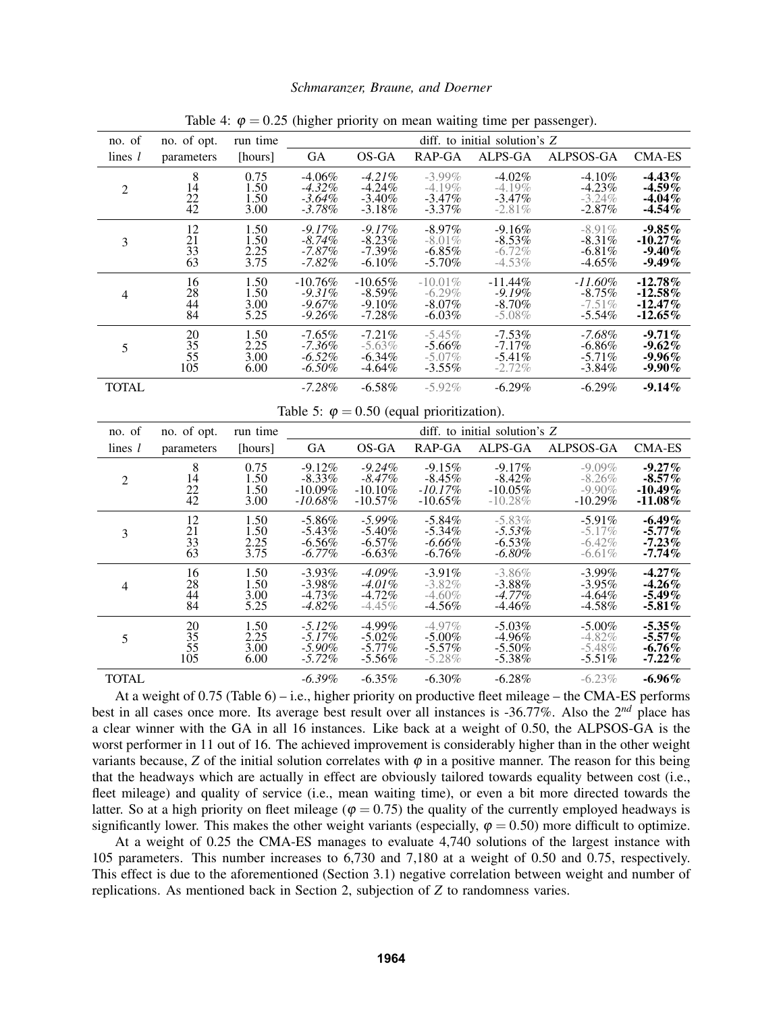| no. of                                            | no. of opt.                                    | run time                     | diff. to initial solution's Z                  |                                                |                                                  |                                                 |                                                |                                                      |  |  |
|---------------------------------------------------|------------------------------------------------|------------------------------|------------------------------------------------|------------------------------------------------|--------------------------------------------------|-------------------------------------------------|------------------------------------------------|------------------------------------------------------|--|--|
| lines $l$                                         | parameters                                     | [hours]                      | GA                                             | OS-GA                                          | RAP-GA                                           | ALPS-GA                                         | ALPSOS-GA                                      | <b>CMA-ES</b>                                        |  |  |
| $\boldsymbol{2}$                                  | 8<br>$1\bar{4}$<br>$^{22}_{42}$                | 0.75<br>1.50<br>1.50<br>3.00 | $-4.06\%$<br>$-4.32\%$<br>$-3.64%$<br>$-3.78%$ | $-4.21%$<br>$-4.24%$<br>$-3.40%$<br>$-3.18%$   | $-3.99\%$<br>$-4.19%$<br>$-3.47\%$<br>$-3.37%$   | $-4.02%$<br>$-4.19%$<br>$-3.47\%$<br>$-2.81%$   | $-4.10\%$<br>$-4.23%$<br>$-3.24%$<br>$-2.87%$  | $-4.43\%$<br>$-4.59\%$<br>$-4.04\%$<br>$-4.54\%$     |  |  |
| 3                                                 | 12<br>$\frac{21}{33}$<br>$\overline{63}$       | 1.50<br>1.50<br>2.25<br>3.75 | $-9.17%$<br>$-8.74%$<br>$-7.87%$<br>$-7.82%$   | $-9.17%$<br>$-8.23%$<br>$-7.39%$<br>$-6.10%$   | $-8.97%$<br>$-8.01%$<br>$-6.85%$<br>$-5.70\%$    | $-9.16%$<br>$-8.53%$<br>$-6.72%$<br>$-4.53\%$   | $-8.91%$<br>$-8.31%$<br>$-6.81%$<br>$-4.65\%$  | $-9.85\%$<br>$-10.27\%$<br>$-9.40%$<br>$-9.49\%$     |  |  |
| $\overline{4}$                                    | 16<br>28<br>44<br>$\ddot{84}$                  | 1.50<br>1.50<br>3.00<br>5.25 | $-10.76%$<br>$-9.31%$<br>$-9.67%$<br>$-9.26%$  | $-10.65\%$<br>$-8.59%$<br>$-9.10%$<br>$-7.28%$ | $-10.01\%$<br>$-6.29%$<br>$-8.07\%$<br>$-6.03\%$ | $-11.44%$<br>$-9.19%$<br>$-8.70\%$<br>$-5.08\%$ | $-11.60\%$<br>$-8.75%$<br>$-7.51%$<br>$-5.54%$ | $-12.78\%$<br>$-12.58\%$<br>$-12.47\%$<br>$-12.65\%$ |  |  |
| 5                                                 | 20<br>35<br>55<br>105                          | 1.50<br>2.25<br>3.00<br>6.00 | $-7.65\%$<br>$-7.36%$<br>$-6.52%$<br>$-6.50%$  | $-7.21%$<br>$-5.63%$<br>$-6.34%$<br>$-4.64%$   | $-5.45%$<br>$-5.66%$<br>$-5.07\%$<br>$-3.55%$    | $-7.53%$<br>$-7.17%$<br>$-5.41%$<br>$-2.72%$    | $-7.68\%$<br>$-6.86%$<br>$-5.71%$<br>$-3.84%$  | $-9.71%$<br>$-9.62%$<br>$-9.96\%$<br>$-9.90\%$       |  |  |
| <b>TOTAL</b>                                      |                                                |                              | $-7.28%$                                       | $-6.58%$                                       | $-5.92%$                                         | $-6.29%$                                        | $-6.29%$                                       | $-9.14%$                                             |  |  |
| Table 5: $\varphi = 0.50$ (equal prioritization). |                                                |                              |                                                |                                                |                                                  |                                                 |                                                |                                                      |  |  |
|                                                   |                                                |                              |                                                |                                                |                                                  |                                                 |                                                |                                                      |  |  |
| no. of                                            | no. of opt.                                    | run time                     |                                                |                                                |                                                  | diff. to initial solution's Z                   |                                                |                                                      |  |  |
| lines $l$                                         | parameters                                     | [hours]                      | <b>GA</b>                                      | OS-GA                                          | RAP-GA                                           | ALPS-GA                                         | ALPSOS-GA                                      | <b>CMA-ES</b>                                        |  |  |
| $\overline{2}$                                    | 8<br>14<br>$\frac{22}{42}$                     | 0.75<br>1.50<br>1.50<br>3.00 | $-9.12%$<br>$-8.33%$<br>$-10.09%$<br>$-10.68%$ | $-9.24%$<br>$-8.47%$<br>$-10.10%$<br>$-10.57%$ | $-9.15%$<br>$-8.45%$<br>$-10.17\%$<br>$-10.65%$  | $-9.17%$<br>$-8.42%$<br>$-10.05%$<br>$-10.28%$  | $-9.09\%$<br>$-8.26%$<br>$-9.90%$<br>$-10.29%$ | $-9.27\%$<br>$-8.57\%$<br>$-10.49\%$<br>$-11.08\%$   |  |  |
| 3                                                 | 12<br>21<br>$\overline{33}$<br>$\overline{63}$ | 1.50<br>1.50<br>2.25<br>3.75 | $-5.86%$<br>$-5.43%$<br>$-6.56%$<br>$-6.77\%$  | $-5.99%$<br>$-5.40%$<br>$-6.57%$<br>$-6.63%$   | $-5.84%$<br>$-5.34\%$<br>$-6.66%$<br>$-6.76%$    | $-5.83%$<br>$-5.53%$<br>$-6.53%$<br>$-6.80\%$   | $-5.91%$<br>$-5.17%$<br>$-6.42%$<br>$-6.61%$   | $-6.49\%$<br>$-5.77\%$<br>$-7.23%$<br>$-7.74%$       |  |  |
| $\overline{4}$                                    | 16<br>28<br>44<br>$\overline{84}$              | 1.50<br>1.50<br>3.00<br>5.25 | $-3.93%$<br>$-3.98%$<br>$-4.73%$<br>$-4.82%$   | $-4.09%$<br>$-4.01%$<br>$-4.72%$<br>$-4.45%$   | $-3.91%$<br>$-3.82%$<br>$-4.60%$<br>$-4.56%$     | $-3.86%$<br>$-3.88%$<br>$-4.77%$<br>$-4.46%$    | $-3.99%$<br>$-3.95%$<br>$-4.64%$<br>$-4.58%$   | $-4.27%$<br>$-4.26\%$<br>$-5.49\%$<br>$-5.81\%$      |  |  |
| 5                                                 | 20<br>$\frac{35}{55}$<br>105                   | 1.50<br>2.25<br>3.00<br>6.00 | $-5.12%$<br>$-5.17%$<br>$-5.90%$<br>$-5.72%$   | $-4.99\%$<br>$-5.02%$<br>$-5.77%$<br>$-5.56%$  | $-4.97%$<br>$-5.00%$<br>$-5.57%$<br>$-5.28%$     | $-5.03\%$<br>$-4.96%$<br>$-5.50%$<br>$-5.38%$   | $-5.00\%$<br>$-4.82%$<br>$-5.48%$<br>$-5.51%$  | $-5.35\%$<br>$-5.57\%$<br>$-6.76\%$<br>$-7.22%$      |  |  |

Table 4:  $\varphi = 0.25$  (higher priority on mean waiting time per passenger).

At a weight of 0.75 (Table 6) – i.e., higher priority on productive fleet mileage – the CMA-ES performs best in all cases once more. Its average best result over all instances is -36.77%. Also the 2*nd* place has a clear winner with the GA in all 16 instances. Like back at a weight of 0.50, the ALPSOS-GA is the worst performer in 11 out of 16. The achieved improvement is considerably higher than in the other weight variants because,  $Z$  of the initial solution correlates with  $\varphi$  in a positive manner. The reason for this being that the headways which are actually in effect are obviously tailored towards equality between cost (i.e., fleet mileage) and quality of service (i.e., mean waiting time), or even a bit more directed towards the latter. So at a high priority on fleet mileage ( $\varphi = 0.75$ ) the quality of the currently employed headways is significantly lower. This makes the other weight variants (especially,  $\varphi = 0.50$ ) more difficult to optimize.

At a weight of 0.25 the CMA-ES manages to evaluate 4,740 solutions of the largest instance with 105 parameters. This number increases to 6,730 and 7,180 at a weight of 0.50 and 0.75, respectively. This effect is due to the aforementioned (Section 3.1) negative correlation between weight and number of replications. As mentioned back in Section 2, subjection of *Z* to randomness varies.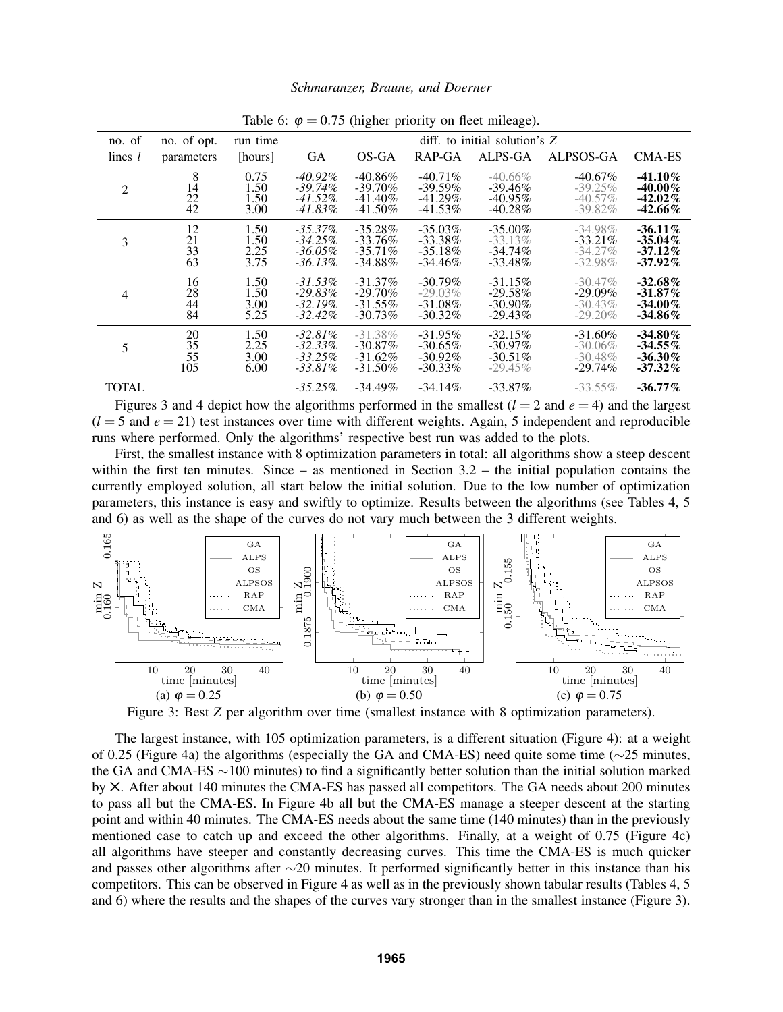| -13<br>$\circ$ |             |          |            |                                 |            |            |            |               |  |  |  |
|----------------|-------------|----------|------------|---------------------------------|------------|------------|------------|---------------|--|--|--|
| no. of         | no. of opt. | run time |            | diff. to initial solution's $Z$ |            |            |            |               |  |  |  |
| lines $l$      | parameters  | [hours]  | GA         | OS-GA                           | RAP-GA     | ALPS-GA    | ALPSOS-GA  | <b>CMA-ES</b> |  |  |  |
| 2              | 8           | 0.75     | $-40.92\%$ | $-40.86\%$                      | $-40.71\%$ | $-40.66\%$ | $-40.67\%$ | $-41.10\%$    |  |  |  |
|                | 14          | 1.50     | $-39.74\%$ | $-39.70\%$                      | $-39.59\%$ | $-39.46\%$ | $-39.25\%$ | $-40.00\%$    |  |  |  |
|                | 22          | 1.50     | $-41.52\%$ | $-41.40\%$                      | $-41.29\%$ | $-40.95\%$ | $-40.57\%$ | $-42.02\%$    |  |  |  |
|                | 42          | 3.00     | -41.83%    | $-41.50\%$                      | $-41.53\%$ | $-40.28\%$ | $-39.82\%$ | $-42.66\%$    |  |  |  |
| 3              | 12          | 1.50     | $-35.37\%$ | $-35.28\%$                      | $-35.03\%$ | $-35.00\%$ | $-34.98\%$ | $-36.11\%$    |  |  |  |
|                | 21          | 1.50     | $-34.25\%$ | $-33.76\%$                      | $-33.38\%$ | $-33.13\%$ | $-33.21\%$ | $-35.04\%$    |  |  |  |
|                | 33          | 2.25     | $-36.05\%$ | $-35.71\%$                      | $-35.18\%$ | $-34.74\%$ | $-34.27\%$ | $-37.12\%$    |  |  |  |
|                | 63          | 3.75     | $-36.13\%$ | $-34.88\%$                      | $-34.46\%$ | $-33.48\%$ | $-32.98\%$ | $-37.92\%$    |  |  |  |
| 4              | 16          | 1.50     | $-31.53\%$ | $-31.37\%$                      | $-30.79\%$ | $-31.15\%$ | $-30.47\%$ | $-32.68\%$    |  |  |  |
|                | 28          | 1.50     | $-29.83\%$ | $-29.70\%$                      | $-29.03\%$ | $-29.58\%$ | $-29.09\%$ | $-31.87\%$    |  |  |  |
|                | 44          | 3.00     | $-32.19\%$ | $-31.55\%$                      | $-31.08\%$ | $-30.90\%$ | $-30.43\%$ | $-34.00\%$    |  |  |  |
|                | 84          | 5.25     | $-32.42\%$ | $-30.73\%$                      | $-30.32\%$ | $-29.43\%$ | $-29.20\%$ | -34.86%       |  |  |  |
| 5              | 20          | 1.50     | $-32.81\%$ | $-31.38\%$                      | $-31.95\%$ | $-32.15%$  | $-31.60\%$ | $-34.80\%$    |  |  |  |
|                | 35          | 2.25     | $-32.33\%$ | $-30.87\%$                      | $-30.65\%$ | $-30.97\%$ | $-30.06\%$ | $-34.55\%$    |  |  |  |
|                | 55          | 3.00     | $-33.25\%$ | $-31.62\%$                      | $-30.92\%$ | $-30.51\%$ | $-30.48\%$ | $-36.30\%$    |  |  |  |
|                | 105         | 6.00     | $-33.81\%$ | $-31.50\%$                      | $-30.33\%$ | $-29.45\%$ | $-29.74\%$ | $-37.32\%$    |  |  |  |
| <b>TOTAL</b>   |             |          | -35.25%    | $-34.49\%$                      | $-34.14\%$ | $-33.87\%$ | $-33.55\%$ | $-36.77\%$    |  |  |  |

Table 6:  $\varphi = 0.75$  (higher priority on fleet mileage).

Figures 3 and 4 depict how the algorithms performed in the smallest  $(l = 2 \text{ and } e = 4)$  and the largest  $(l = 5$  and  $e = 21$ ) test instances over time with different weights. Again, 5 independent and reproducible runs where performed. Only the algorithms' respective best run was added to the plots.

First, the smallest instance with 8 optimization parameters in total: all algorithms show a steep descent within the first ten minutes. Since – as mentioned in Section 3.2 – the initial population contains the currently employed solution, all start below the initial solution. Due to the low number of optimization parameters, this instance is easy and swiftly to optimize. Results between the algorithms (see Tables 4, 5 and 6) as well as the shape of the curves do not vary much between the 3 different weights.



Figure 3: Best *Z* per algorithm over time (smallest instance with 8 optimization parameters).

The largest instance, with 105 optimization parameters, is a different situation (Figure 4): at a weight of 0.25 (Figure 4a) the algorithms (especially the GA and CMA-ES) need quite some time (∼25 minutes, the GA and CMA-ES ∼100 minutes) to find a significantly better solution than the initial solution marked by ✕. After about 140 minutes the CMA-ES has passed all competitors. The GA needs about 200 minutes to pass all but the CMA-ES. In Figure 4b all but the CMA-ES manage a steeper descent at the starting point and within 40 minutes. The CMA-ES needs about the same time (140 minutes) than in the previously mentioned case to catch up and exceed the other algorithms. Finally, at a weight of 0.75 (Figure 4c) all algorithms have steeper and constantly decreasing curves. This time the CMA-ES is much quicker and passes other algorithms after ∼20 minutes. It performed significantly better in this instance than his competitors. This can be observed in Figure 4 as well as in the previously shown tabular results (Tables 4, 5 and 6) where the results and the shapes of the curves vary stronger than in the smallest instance (Figure 3).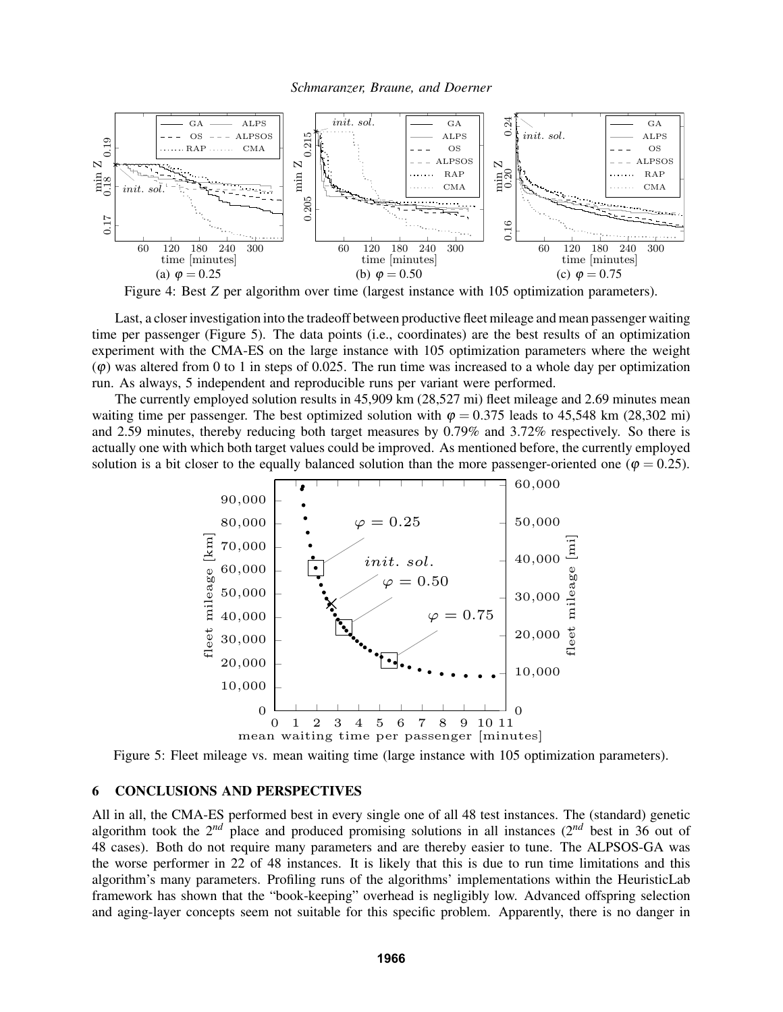

Figure 4: Best *Z* per algorithm over time (largest instance with 105 optimization parameters).

Last, a closer investigation into the tradeoff between productive fleet mileage and mean passenger waiting time per passenger (Figure 5). The data points (i.e., coordinates) are the best results of an optimization experiment with the CMA-ES on the large instance with 105 optimization parameters where the weight  $\varphi$ ) was altered from 0 to 1 in steps of 0.025. The run time was increased to a whole day per optimization run. As always, 5 independent and reproducible runs per variant were performed.

The currently employed solution results in 45,909 km (28,527 mi) fleet mileage and 2.69 minutes mean waiting time per passenger. The best optimized solution with  $\varphi = 0.375$  leads to 45,548 km (28,302 mi) and 2.59 minutes, thereby reducing both target measures by 0.79% and 3.72% respectively. So there is actually one with which both target values could be improved. As mentioned before, the currently employed solution is a bit closer to the equally balanced solution than the more passenger-oriented one ( $\varphi = 0.25$ ).



Figure 5: Fleet mileage vs. mean waiting time (large instance with 105 optimization parameters).

## 6 CONCLUSIONS AND PERSPECTIVES

All in all, the CMA-ES performed best in every single one of all 48 test instances. The (standard) genetic algorithm took the 2*nd* place and produced promising solutions in all instances (2*nd* best in 36 out of 48 cases). Both do not require many parameters and are thereby easier to tune. The ALPSOS-GA was the worse performer in 22 of 48 instances. It is likely that this is due to run time limitations and this algorithm's many parameters. Profiling runs of the algorithms' implementations within the HeuristicLab framework has shown that the "book-keeping" overhead is negligibly low. Advanced offspring selection and aging-layer concepts seem not suitable for this specific problem. Apparently, there is no danger in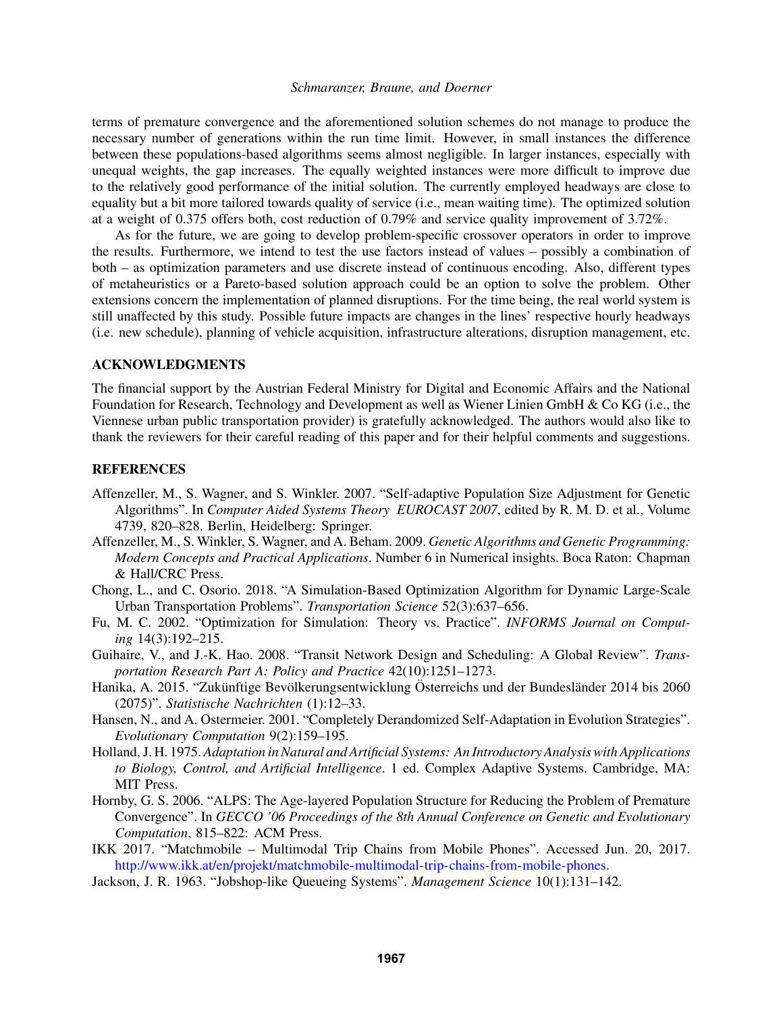terms of premature convergence and the aforementioned solution schemes do not manage to produce the necessary number of generations within the run time limit. However, in small instances the difference between these populations-based algorithms seems almost negligible. In larger instances, especially with unequal weights, the gap increases. The equally weighted instances were more difficult to improve due to the relatively good performance of the initial solution. The currently employed headways are close to equality but a bit more tailored towards quality of service (i.e., mean waiting time). The optimized solution at a weight of 0.375 offers both, cost reduction of 0.79% and service quality improvement of 3.72%.

As for the future, we are going to develop problem-specific crossover operators in order to improve the results. Furthermore, we intend to test the use factors instead of values – possibly a combination of both – as optimization parameters and use discrete instead of continuous encoding. Also, different types of metaheuristics or a Pareto-based solution approach could be an option to solve the problem. Other extensions concern the implementation of planned disruptions. For the time being, the real world system is still unaffected by this study. Possible future impacts are changes in the lines' respective hourly headways (i.e. new schedule), planning of vehicle acquisition, infrastructure alterations, disruption management, etc.

## ACKNOWLEDGMENTS

The financial support by the Austrian Federal Ministry for Digital and Economic Affairs and the National Foundation for Research, Technology and Development as well as Wiener Linien GmbH & Co KG (i.e., the Viennese urban public transportation provider) is gratefully acknowledged. The authors would also like to thank the reviewers for their careful reading of this paper and for their helpful comments and suggestions.

### **REFERENCES**

- Affenzeller, M., S. Wagner, and S. Winkler. 2007. "Self-adaptive Population Size Adjustment for Genetic Algorithms". In *Computer Aided Systems Theory EUROCAST 2007*, edited by R. M. D. et al., Volume 4739, 820–828. Berlin, Heidelberg: Springer.
- Affenzeller, M., S. Winkler, S. Wagner, and A. Beham. 2009. *Genetic Algorithms and Genetic Programming: Modern Concepts and Practical Applications*. Number 6 in Numerical insights. Boca Raton: Chapman & Hall/CRC Press.
- Chong, L., and C. Osorio. 2018. "A Simulation-Based Optimization Algorithm for Dynamic Large-Scale Urban Transportation Problems". *Transportation Science* 52(3):637–656.
- Fu, M. C. 2002. "Optimization for Simulation: Theory vs. Practice". *INFORMS Journal on Computing* 14(3):192–215.
- Guihaire, V., and J.-K. Hao. 2008. "Transit Network Design and Scheduling: A Global Review". *Transportation Research Part A: Policy and Practice* 42(10):1251–1273.
- Hanika, A. 2015. "Zukünftige Bevölkerungsentwicklung Österreichs und der Bundesländer 2014 bis 2060 (2075)". *Statistische Nachrichten* (1):12–33.
- Hansen, N., and A. Ostermeier. 2001. "Completely Derandomized Self-Adaptation in Evolution Strategies". *Evolutionary Computation* 9(2):159–195.
- Holland, J. H. 1975. *Adaptation in Natural and Artificial Systems: An Introductory Analysis with Applications to Biology, Control, and Artificial Intelligence*. 1 ed. Complex Adaptive Systems. Cambridge, MA: MIT Press.
- Hornby, G. S. 2006. "ALPS: The Age-layered Population Structure for Reducing the Problem of Premature Convergence". In *GECCO '06 Proceedings of the 8th Annual Conference on Genetic and Evolutionary Computation*, 815–822: ACM Press.
- IKK 2017. "Matchmobile Multimodal Trip Chains from Mobile Phones". Accessed Jun. 20, 2017. http://www.ikk.at/en/projekt/matchmobile-multimodal-trip-chains-from-mobile-phones.
- Jackson, J. R. 1963. "Jobshop-like Queueing Systems". *Management Science* 10(1):131–142.